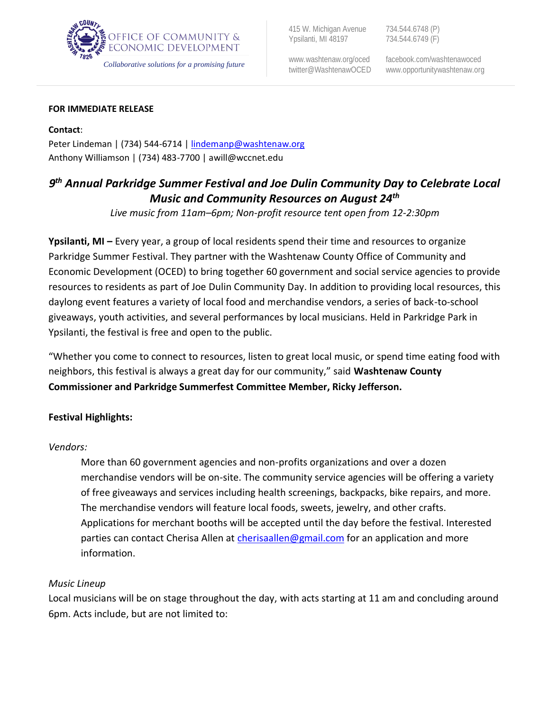

415 W. Michigan Avenue 734.544.6748 (P)<br>
Ypsilanti, MI 48197 734.544.6749 (F) Ypsilanti, MI 48197

ww[w.washtenaw.org/oced](http://www.ewashtenaw.org/oced) facebook.com/washtenawoced

#### **FOR IMMEDIATE RELEASE**

**Contact**: Peter Lindeman | (734) 544-6714 | [lindemanp@washtenaw.org](mailto:lindemanp@washtenaw.org) Anthony Williamson | (734) 483-7700 | awill@wccnet.edu

# *9 th Annual Parkridge Summer Festival and Joe Dulin Community Day to Celebrate Local Music and Community Resources on August 24th*

*Live music from 11am–6pm; Non-profit resource tent open from 12-2:30pm*

**Ypsilanti, MI –** Every year, a group of local residents spend their time and resources to organize Parkridge Summer Festival. They partner with the Washtenaw County Office of Community and Economic Development (OCED) to bring together 60 government and social service agencies to provide resources to residents as part of Joe Dulin Community Day. In addition to providing local resources, this daylong event features a variety of local food and merchandise vendors, a series of back-to-school giveaways, youth activities, and several performances by local musicians. Held in Parkridge Park in Ypsilanti, the festival is free and open to the public.

"Whether you come to connect to resources, listen to great local music, or spend time eating food with neighbors, this festival is always a great day for our community," said **Washtenaw County Commissioner and Parkridge Summerfest Committee Member, Ricky Jefferson.**

## **Festival Highlights:**

## *Vendors:*

More than 60 government agencies and non-profits organizations and over a dozen merchandise vendors will be on-site. The community service agencies will be offering a variety of free giveaways and services including health screenings, backpacks, bike repairs, and more. The merchandise vendors will feature local foods, sweets, jewelry, and other crafts. Applications for merchant booths will be accepted until the day before the festival. Interested parties can contact Cherisa Allen at [cherisaallen@gmail.com](mailto:cherisaallen@gmail.com) for an application and more information.

#### *Music Lineup*

Local musicians will be on stage throughout the day, with acts starting at 11 am and concluding around 6pm. Acts include, but are not limited to: